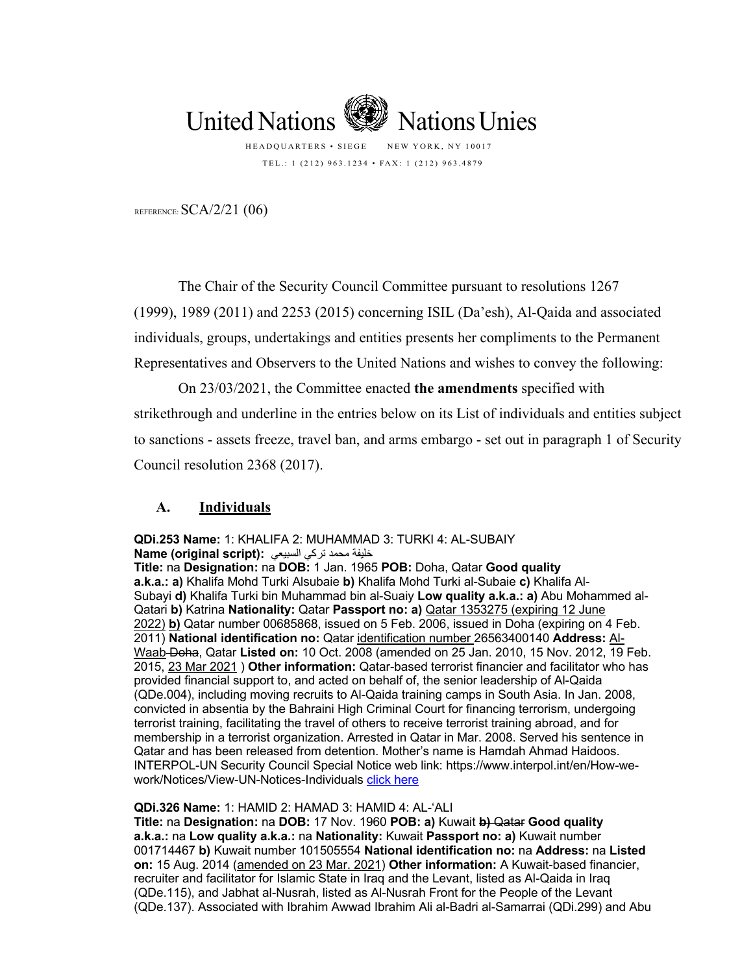

HEADQUARTERS • SIEGE NEW YORK, NY 10017 TEL.: 1 (212) 963.1234 • FAX: 1 (212) 963.4879

REFERENCE: SCA/2/21 (06)

The Chair of the Security Council Committee pursuant to resolutions 1267 (1999), 1989 (2011) and 2253 (2015) concerning ISIL (Da'esh), Al-Qaida and associated individuals, groups, undertakings and entities presents her compliments to the Permanent Representatives and Observers to the United Nations and wishes to convey the following:

On 23/03/2021, the Committee enacted **the amendments** specified with strikethrough and underline in the entries below on its List of individuals and entities subject to sanctions - assets freeze, travel ban, and arms embargo - set out in paragraph 1 of Security Council resolution 2368 (2017).

## **A. Individuals**

**QDi.253 Name:** 1: KHALIFA 2: MUHAMMAD 3: TURKI 4: AL-SUBAIY ةفیلخ دمحم يكرت يعیبسلا **:(script original (Name**

**Title:** na **Designation:** na **DOB:** 1 Jan. 1965 **POB:** Doha, Qatar **Good quality a.k.a.: a)** Khalifa Mohd Turki Alsubaie **b)** Khalifa Mohd Turki al-Subaie **c)** Khalifa Al-Subayi **d)** Khalifa Turki bin Muhammad bin al-Suaiy **Low quality a.k.a.: a)** Abu Mohammed al-Qatari **b)** Katrina **Nationality:** Qatar **Passport no: a)** Qatar 1353275 (expiring 12 June 2022) **b)** Qatar number 00685868, issued on 5 Feb. 2006, issued in Doha (expiring on 4 Feb. 2011) **National identification no:** Qatar identification number 26563400140 **Address:** Al-Waab Doha, Qatar **Listed on:** 10 Oct. 2008 (amended on 25 Jan. 2010, 15 Nov. 2012, 19 Feb. 2015, 23 Mar 2021 ) **Other information:** Qatar-based terrorist financier and facilitator who has provided financial support to, and acted on behalf of, the senior leadership of Al-Qaida (QDe.004), including moving recruits to Al-Qaida training camps in South Asia. In Jan. 2008, convicted in absentia by the Bahraini High Criminal Court for financing terrorism, undergoing terrorist training, facilitating the travel of others to receive terrorist training abroad, and for membership in a terrorist organization. Arrested in Qatar in Mar. 2008. Served his sentence in Qatar and has been released from detention. Mother's name is Hamdah Ahmad Haidoos. INTERPOL-UN Security Council Special Notice web link: https://www.interpol.int/en/How-wework/Notices/View-UN-Notices-Individuals click here

**QDi.326 Name:** 1: HAMID 2: HAMAD 3: HAMID 4: AL-'ALI

**Title:** na **Designation:** na **DOB:** 17 Nov. 1960 **POB: a)** Kuwait **b)** Qatar **Good quality a.k.a.:** na **Low quality a.k.a.:** na **Nationality:** Kuwait **Passport no: a)** Kuwait number 001714467 **b)** Kuwait number 101505554 **National identification no:** na **Address:** na **Listed on:** 15 Aug. 2014 (amended on 23 Mar. 2021) **Other information:** A Kuwait-based financier, recruiter and facilitator for Islamic State in Iraq and the Levant, listed as Al-Qaida in Iraq (QDe.115), and Jabhat al-Nusrah, listed as Al-Nusrah Front for the People of the Levant (QDe.137). Associated with Ibrahim Awwad Ibrahim Ali al-Badri al-Samarrai (QDi.299) and Abu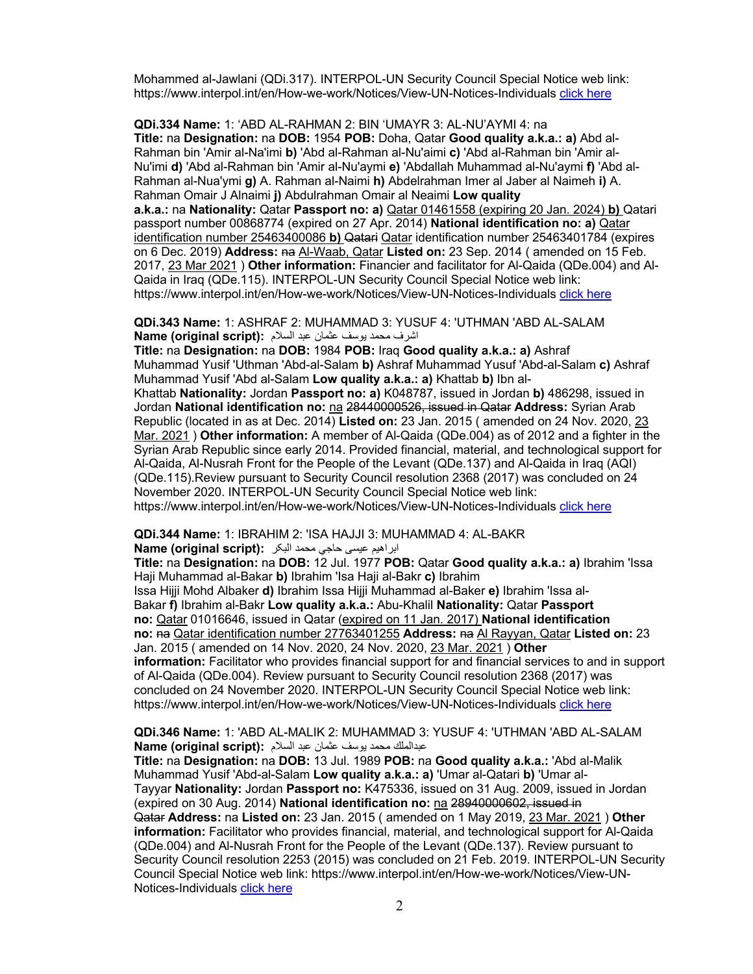Mohammed al-Jawlani (QDi.317). INTERPOL-UN Security Council Special Notice web link: https://www.interpol.int/en/How-we-work/Notices/View-UN-Notices-Individuals click here

**QDi.334 Name:** 1: 'ABD AL-RAHMAN 2: BIN 'UMAYR 3: AL-NU'AYMI 4: na **Title:** na **Designation:** na **DOB:** 1954 **POB:** Doha, Qatar **Good quality a.k.a.: a)** Abd al-Rahman bin 'Amir al-Na'imi **b)** 'Abd al-Rahman al-Nu'aimi **c)** 'Abd al-Rahman bin 'Amir al-Nu'imi **d)** 'Abd al-Rahman bin 'Amir al-Nu'aymi **e)** 'Abdallah Muhammad al-Nu'aymi **f)** 'Abd al-Rahman al-Nua'ymi **g)** A. Rahman al-Naimi **h)** Abdelrahman Imer al Jaber al Naimeh **i)** A. Rahman Omair J Alnaimi **j)** Abdulrahman Omair al Neaimi **Low quality** 

**a.k.a.:** na **Nationality:** Qatar **Passport no: a)** Qatar 01461558 (expiring 20 Jan. 2024) **b)** Qatari passport number 00868774 (expired on 27 Apr. 2014) **National identification no: a)** Qatar identification number 25463400086 **b)** Qatari Qatar identification number 25463401784 (expires on 6 Dec. 2019) **Address:** na Al-Waab, Qatar **Listed on:** 23 Sep. 2014 ( amended on 15 Feb. 2017, 23 Mar 2021 ) **Other information:** Financier and facilitator for Al-Qaida (QDe.004) and Al-Qaida in Iraq (QDe.115). INTERPOL-UN Security Council Special Notice web link: https://www.interpol.int/en/How-we-work/Notices/View-UN-Notices-Individuals click here

**QDi.343 Name:** 1: ASHRAF 2: MUHAMMAD 3: YUSUF 4: 'UTHMAN 'ABD AL-SALAM اشرف محمد بوسف عثمان عبد السلام :**Name (original script)** 

**Title:** na **Designation:** na **DOB:** 1984 **POB:** Iraq **Good quality a.k.a.: a)** Ashraf Muhammad Yusif 'Uthman 'Abd-al-Salam **b)** Ashraf Muhammad Yusuf 'Abd-al-Salam **c)** Ashraf Muhammad Yusif 'Abd al-Salam **Low quality a.k.a.: a)** Khattab **b)** Ibn al-

Khattab **Nationality:** Jordan **Passport no: a)** K048787, issued in Jordan **b)** 486298, issued in Jordan **National identification no:** na 28440000526, issued in Qatar **Address:** Syrian Arab Republic (located in as at Dec. 2014) **Listed on:** 23 Jan. 2015 ( amended on 24 Nov. 2020, 23 Mar. 2021 ) **Other information:** A member of Al-Qaida (QDe.004) as of 2012 and a fighter in the Syrian Arab Republic since early 2014. Provided financial, material, and technological support for Al-Qaida, Al-Nusrah Front for the People of the Levant (QDe.137) and Al-Qaida in Iraq (AQI) (QDe.115).Review pursuant to Security Council resolution 2368 (2017) was concluded on 24 November 2020. INTERPOL-UN Security Council Special Notice web link: https://www.interpol.int/en/How-we-work/Notices/View-UN-Notices-Individuals click here

**QDi.344 Name:** 1: IBRAHIM 2: 'ISA HAJJI 3: MUHAMMAD 4: AL-BAKR

ابراهيم عيسى حاجى محمد البكر **: Name (original script)** 

**Title:** na **Designation:** na **DOB:** 12 Jul. 1977 **POB:** Qatar **Good quality a.k.a.: a)** Ibrahim 'Issa Haji Muhammad al-Bakar **b)** Ibrahim 'Isa Haji al-Bakr **c)** Ibrahim

Issa Hijji Mohd Albaker **d)** Ibrahim Issa Hijji Muhammad al-Baker **e)** Ibrahim 'Issa al-Bakar **f)** Ibrahim al-Bakr **Low quality a.k.a.:** Abu-Khalil **Nationality:** Qatar **Passport no:** Qatar 01016646, issued in Qatar (expired on 11 Jan. 2017) **National identification no:** na Qatar identification number 27763401255 **Address:** na Al Rayyan, Qatar **Listed on:** 23 Jan. 2015 ( amended on 14 Nov. 2020, 24 Nov. 2020, 23 Mar. 2021 ) **Other information:** Facilitator who provides financial support for and financial services to and in support of Al-Qaida (QDe.004). Review pursuant to Security Council resolution 2368 (2017) was concluded on 24 November 2020. INTERPOL-UN Security Council Special Notice web link: https://www.interpol.int/en/How-we-work/Notices/View-UN-Notices-Individuals click here

**QDi.346 Name:** 1: 'ABD AL-MALIK 2: MUHAMMAD 3: YUSUF 4: 'UTHMAN 'ABD AL-SALAM **Name (original script):** عبدالملك محمد بوسف عثمان عبد السلام

**Title:** na **Designation:** na **DOB:** 13 Jul. 1989 **POB:** na **Good quality a.k.a.:** 'Abd al-Malik Muhammad Yusif 'Abd-al-Salam **Low quality a.k.a.: a)** 'Umar al-Qatari **b)** 'Umar al-Tayyar **Nationality:** Jordan **Passport no:** K475336, issued on 31 Aug. 2009, issued in Jordan (expired on 30 Aug. 2014) **National identification no:** na 28940000602, issued in Qatar **Address:** na **Listed on:** 23 Jan. 2015 ( amended on 1 May 2019, 23 Mar. 2021 ) **Other information:** Facilitator who provides financial, material, and technological support for Al-Qaida (QDe.004) and Al-Nusrah Front for the People of the Levant (QDe.137). Review pursuant to Security Council resolution 2253 (2015) was concluded on 21 Feb. 2019. INTERPOL-UN Security Council Special Notice web link: https://www.interpol.int/en/How-we-work/Notices/View-UN-Notices-Individuals click here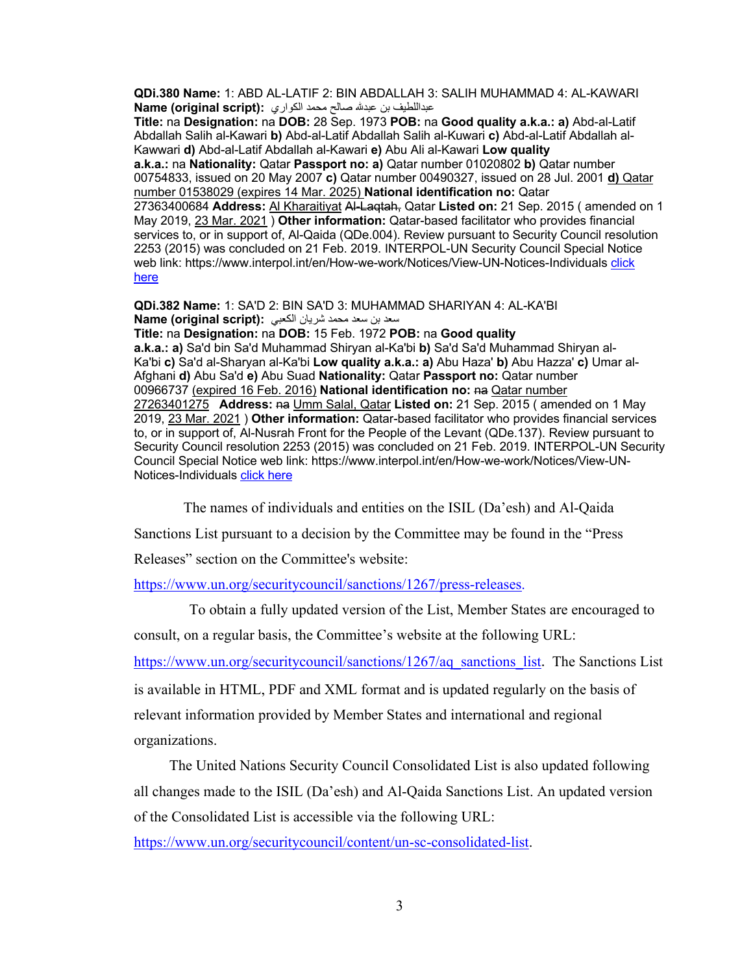**QDi.380 Name:** 1: ABD AL-LATIF 2: BIN ABDALLAH 3: SALIH MUHAMMAD 4: AL-KAWARI فیطللادبع نب áدبع حلاص دمحم يراوكلا **:(script original (Name**

**Title:** na **Designation:** na **DOB:** 28 Sep. 1973 **POB:** na **Good quality a.k.a.: a)** Abd-al-Latif Abdallah Salih al-Kawari **b)** Abd-al-Latif Abdallah Salih al-Kuwari **c)** Abd-al-Latif Abdallah al-Kawwari **d)** Abd-al-Latif Abdallah al-Kawari **e)** Abu Ali al-Kawari **Low quality a.k.a.:** na **Nationality:** Qatar **Passport no: a)** Qatar number 01020802 **b)** Qatar number 00754833, issued on 20 May 2007 **c)** Qatar number 00490327, issued on 28 Jul. 2001 **d)** Qatar number 01538029 (expires 14 Mar. 2025) **National identification no:** Qatar 27363400684 **Address:** Al Kharaitiyat Al-Laqtah, Qatar **Listed on:** 21 Sep. 2015 ( amended on 1 May 2019, 23 Mar. 2021 ) **Other information:** Qatar-based facilitator who provides financial services to, or in support of, Al-Qaida (QDe.004). Review pursuant to Security Council resolution 2253 (2015) was concluded on 21 Feb. 2019. INTERPOL-UN Security Council Special Notice web link: https://www.interpol.int/en/How-we-work/Notices/View-UN-Notices-Individuals click here

**QDi.382 Name:** 1: SA'D 2: BIN SA'D 3: MUHAMMAD SHARIYAN 4: AL-KA'BI دعس نب دعس دمحم نایرش يبعكلا **:(script original (Name Title:** na **Designation:** na **DOB:** 15 Feb. 1972 **POB:** na **Good quality a.k.a.: a)** Sa'd bin Sa'd Muhammad Shiryan al-Ka'bi **b)** Sa'd Sa'd Muhammad Shiryan al-Ka'bi **c)** Sa'd al-Sharyan al-Ka'bi **Low quality a.k.a.: a)** Abu Haza' **b)** Abu Hazza' **c)** Umar al-Afghani **d)** Abu Sa'd **e)** Abu Suad **Nationality:** Qatar **Passport no:** Qatar number 00966737 (expired 16 Feb. 2016) National identification no: na Qatar number 27263401275 **Address:** na Umm Salal, Qatar **Listed on:** 21 Sep. 2015 ( amended on 1 May 2019, 23 Mar. 2021 ) **Other information:** Qatar-based facilitator who provides financial services to, or in support of, Al-Nusrah Front for the People of the Levant (QDe.137). Review pursuant to Security Council resolution 2253 (2015) was concluded on 21 Feb. 2019. INTERPOL-UN Security Council Special Notice web link: https://www.interpol.int/en/How-we-work/Notices/View-UN-Notices-Individuals click here

The names of individuals and entities on the ISIL (Da'esh) and Al-Qaida

Sanctions List pursuant to a decision by the Committee may be found in the "Press

Releases" section on the Committee's website:

https://www.un.org/securitycouncil/sanctions/1267/press-releases.

To obtain a fully updated version of the List, Member States are encouraged to consult, on a regular basis, the Committee's website at the following URL:

https://www.un.org/securitycouncil/sanctions/1267/aq\_sanctions\_list. The Sanctions List

is available in HTML, PDF and XML format and is updated regularly on the basis of relevant information provided by Member States and international and regional organizations.

The United Nations Security Council Consolidated List is also updated following all changes made to the ISIL (Da'esh) and Al-Qaida Sanctions List. An updated version of the Consolidated List is accessible via the following URL:

https://www.un.org/securitycouncil/content/un-sc-consolidated-list.